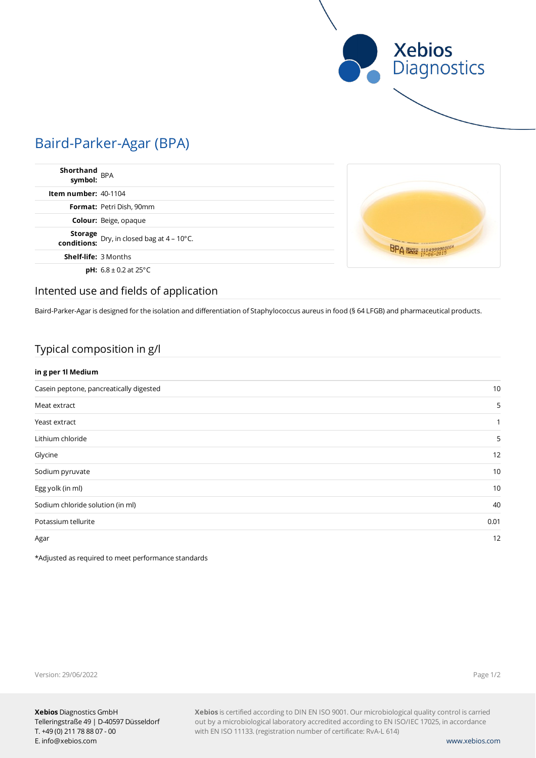

# Baird-Parker-Agar (BPA)

| Shorthand<br>symbol: BPA    |                                                          |
|-----------------------------|----------------------------------------------------------|
| Item number: $40-1104$      |                                                          |
|                             | Format: Petri Dish, 90mm                                 |
|                             | <b>Colour:</b> Beige, opaque                             |
|                             | <b>Storage</b> Dry, in closed bag at $4 - 10^{\circ}$ C. |
| <b>Shelf-life: 3 Months</b> |                                                          |
|                             | <b>pH:</b> $6.8 \pm 0.2$ at 25°C                         |



### Intented use and fields of application

Baird-Parker-Agar is designed for the isolation and differentiation of Staphylococcus aureus in food (§ 64 LFGB) and pharmaceutical products.

### Typical composition in g/l

### **in g per 1l Medium**

| Casein peptone, pancreatically digested | 10   |
|-----------------------------------------|------|
| Meat extract                            | 5    |
| Yeast extract                           | 1    |
| Lithium chloride                        | 5    |
| Glycine                                 | 12   |
| Sodium pyruvate                         | 10   |
| Egg yolk (in ml)                        | 10   |
| Sodium chloride solution (in ml)        | 40   |
| Potassium tellurite                     | 0.01 |
| Agar                                    | 12   |

\*Adjusted as required to meet performance standards

Version: 29/06/2022

Page 1/2

**Xebios** is certified according to DIN EN ISO 9001. Our microbiological quality control is carried out by a microbiological laboratory accredited according to EN ISO/IEC 17025, in accordance with EN ISO 11133. (registration number of certificate: RvA-L 614)